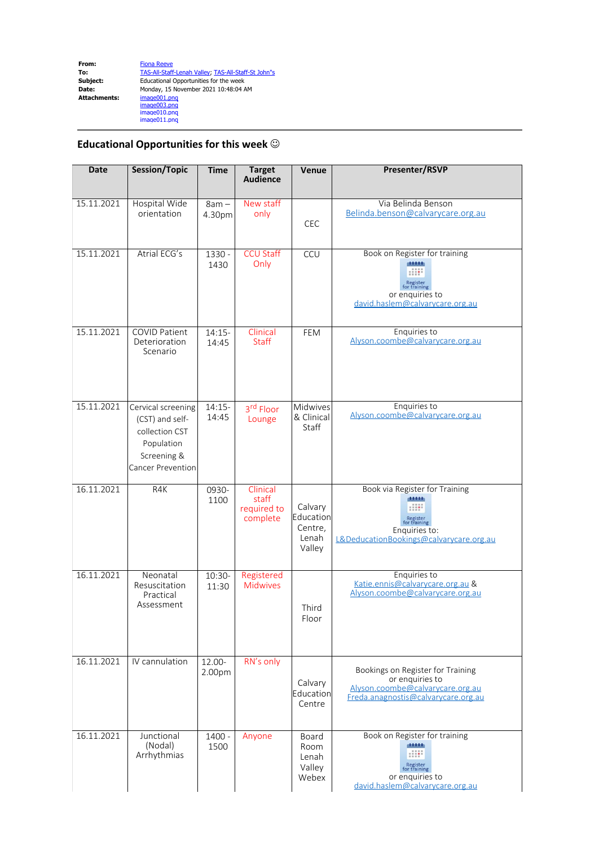## **Educational Opportunities for this week**  $\odot$

| <b>Date</b> | Session/Topic                                                                                             | <b>Time</b>       | <b>Target</b><br><b>Audience</b>             | Venue                                              | Presenter/RSVP                                                                                                                  |
|-------------|-----------------------------------------------------------------------------------------------------------|-------------------|----------------------------------------------|----------------------------------------------------|---------------------------------------------------------------------------------------------------------------------------------|
| 15.11.2021  | Hospital Wide<br>orientation                                                                              | $8am -$<br>4.30pm | New staff<br>only                            | <b>CEC</b>                                         | Via Belinda Benson<br>Belinda.benson@calvarycare.org.au                                                                         |
| 15.11.2021  | Atrial ECG's                                                                                              | 1330 -<br>1430    | <b>CCU Staff</b><br>Only                     | CCU                                                | Book on Register for training<br>Register<br>for training<br>or enquiries to<br>david.haslem@calvarycare.org.au                 |
| 15.11.2021  | <b>COVID Patient</b><br>Deterioration<br>Scenario                                                         | $14:15-$<br>14:45 | Clinical<br><b>Staff</b>                     | FEM                                                | Enquiries to<br>Alyson.coombe@calvarycare.org.au                                                                                |
| 15.11.2021  | Cervical screening<br>(CST) and self-<br>collection CST<br>Population<br>Screening &<br>Cancer Prevention | $14:15-$<br>14:45 | 3rd Floor<br>Lounge                          | Midwives<br>& Clinical<br>Staff                    | Enquiries to<br>Alyson.coombe@calvarycare.org.au                                                                                |
| 16.11.2021  | R4K                                                                                                       | 0930-<br>1100     | Clinical<br>staff<br>required to<br>complete | Calvary<br>Education<br>Centre,<br>Lenah<br>Valley | Book via Register for Training<br>Register<br>for training<br>Enquiries to:<br>L&DeducationBookings@calvarycare.org.au          |
| 16.11.2021  | Neonatal<br>Resuscitation<br>Practical<br>Assessment                                                      | 10:30-<br>11:30   | Registered<br><b>Midwives</b>                | Third<br>Floor                                     | Enquiries to<br>Katie.ennis@calvarycare.org.au &<br>Alyson.coombe@calyarycare.org.au                                            |
| 16.11.2021  | IV cannulation                                                                                            | 12.00-<br>2.00pm  | RN's only                                    | Calvary<br>Education<br>Centre                     | Bookings on Register for Training<br>or enquiries to<br>Alyson.coombe@calvarycare.org.au<br>Freda.anagnostis@calvarycare.org.au |
| 16.11.2021  | Junctional<br>(Nodal)<br>Arrhythmias                                                                      | 1400 -<br>1500    | Anyone                                       | Board<br>Room<br>Lenah<br>Valley<br>Webex          | Book on Register for training<br>11111<br>for training<br>or enquiries to<br>david.haslem@calvarycare.org.au                    |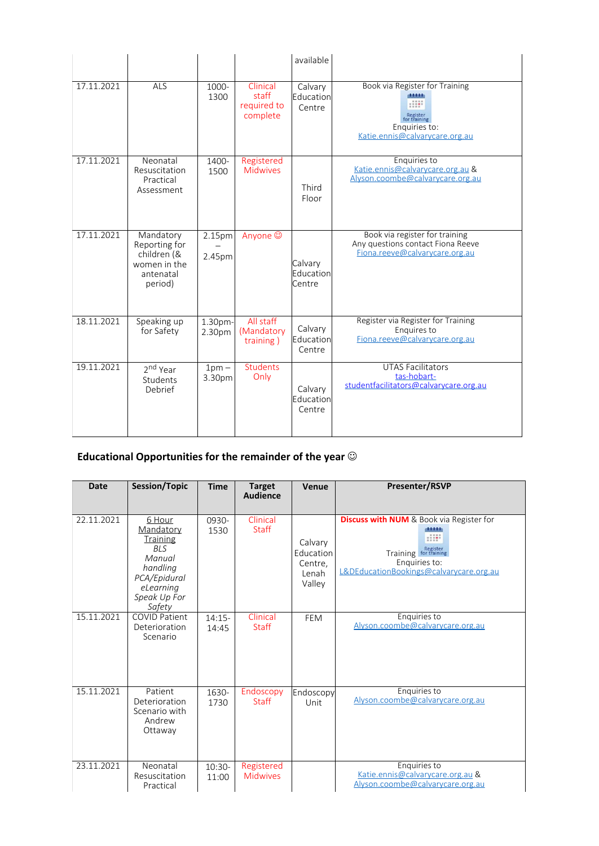|            |                                                                                   |                   |                                              | available                      |                                                                                                       |
|------------|-----------------------------------------------------------------------------------|-------------------|----------------------------------------------|--------------------------------|-------------------------------------------------------------------------------------------------------|
| 17.11.2021 | ALS                                                                               | 1000-<br>1300     | Clinical<br>staff<br>required to<br>complete | Calvary<br>Education<br>Centre | Book via Register for Training<br>Enquiries to:<br>Katie.ennis@calvarycare.org.au                     |
| 17.11.2021 | Neonatal<br>Resuscitation<br>Practical<br>Assessment                              | 1400-<br>1500     | Registered<br><b>Midwives</b>                | Third<br>Floor                 | Enquiries to<br>Katie.ennis@calvarycare.org.au &<br>Alyson.coombe@calvarycare.org.au                  |
| 17.11.2021 | Mandatory<br>Reporting for<br>children (&<br>women in the<br>antenatal<br>period) | 2.15pm<br>2.45pm  | Anyone ©                                     | Calvary<br>Education<br>Centre | Book via register for training<br>Any questions contact Fiona Reeve<br>Fiona.reeve@calvarycare.org.au |
| 18.11.2021 | Speaking up<br>for Safety                                                         | 1.30pm-<br>2.30pm | All staff<br>(Mandatory<br>training)         | Calvary<br>Education<br>Centre | Register via Register for Training<br>Enquires to<br>Fiona.reeve@calvarycare.org.au                   |
| 19.11.2021 | 2 <sup>nd</sup> Year<br>Students<br>Debrief                                       | $1pm -$<br>3.30pm | <b>Students</b><br>Only                      | Calvary<br>Education<br>Centre | <b>UTAS Facilitators</b><br>tas-hobart-<br>studentfacilitators@calvarycare.org.au                     |

## **Educational Opportunities for the remainder of the year** J

| <b>Date</b> | <b>Session/Topic</b>                                                                                                              | <b>Time</b>       | <b>Target</b><br><b>Audience</b> | Venue                                              | <b>Presenter/RSVP</b>                                                                                                                                            |
|-------------|-----------------------------------------------------------------------------------------------------------------------------------|-------------------|----------------------------------|----------------------------------------------------|------------------------------------------------------------------------------------------------------------------------------------------------------------------|
| 22.11.2021  | 6 Hour<br>Mandatory<br><b>Training</b><br><b>BLS</b><br>Manual<br>handling<br>PCA/Epidural<br>eLearning<br>Speak Up For<br>Safety | 0930-<br>1530     | Clinical<br><b>Staff</b>         | Calvary<br>Education<br>Centre,<br>Lenah<br>Valley | <b>Discuss with NUM</b> & Book via Register for<br><b>STATISTICS</b><br>Training <b>For training</b><br>Enquiries to:<br>L&DEducationBookings@calvarycare.org.au |
| 15.11.2021  | <b>COVID Patient</b><br>Deterioration<br>Scenario                                                                                 | $14:15-$<br>14:45 | Clinical<br><b>Staff</b>         | <b>FEM</b>                                         | Enquiries to<br>Alyson.coombe@calvarycare.org.au                                                                                                                 |
| 15.11.2021  | Patient<br>Deterioration<br>Scenario with<br>Andrew<br>Ottaway                                                                    | 1630-<br>1730     | Endoscopy<br><b>Staff</b>        | Endoscopy<br>Unit                                  | Enquiries to<br>Alyson.coombe@calvarycare.org.au                                                                                                                 |
| 23.11.2021  | Neonatal<br>Resuscitation<br>Practical                                                                                            | $10:30-$<br>11:00 | Registered<br><b>Midwives</b>    |                                                    | Enquiries to<br>Katie.ennis@calvarycare.org.au &<br>Alyson.coombe@calvarycare.org.au                                                                             |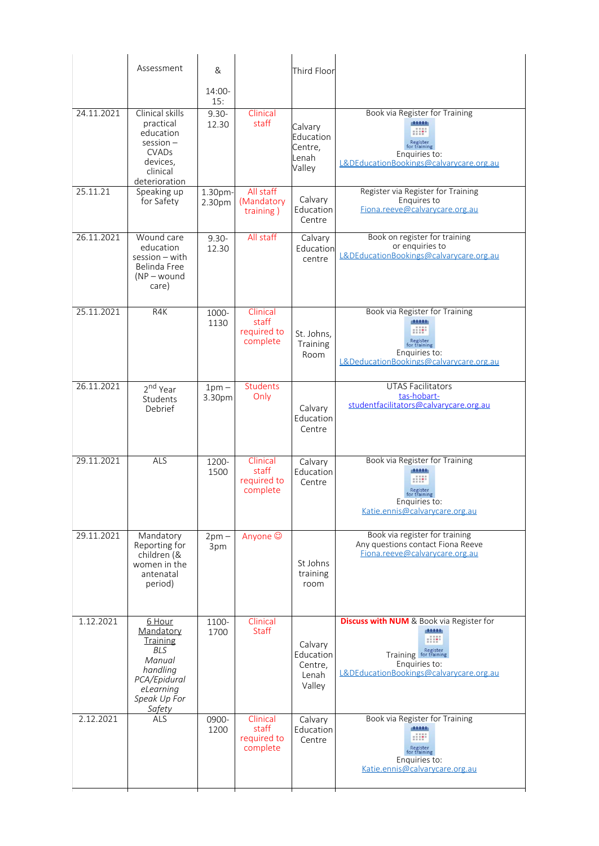|            | Assessment                                                                                                        | &                 |                                              | Third Floor                                        |                                                                                                                                                               |
|------------|-------------------------------------------------------------------------------------------------------------------|-------------------|----------------------------------------------|----------------------------------------------------|---------------------------------------------------------------------------------------------------------------------------------------------------------------|
|            |                                                                                                                   | 14:00-<br>15:     |                                              |                                                    |                                                                                                                                                               |
| 24.11.2021 | Clinical skills<br>practical<br>education<br>$session -$<br><b>CVADs</b><br>devices,<br>clinical<br>deterioration | $9.30 -$<br>12.30 | Clinical<br>staff                            | Calvary<br>Education<br>Centre,<br>Lenah<br>Valley | Book via Register for Training<br><b>diddition</b><br>HIM-<br>Register<br>for training<br>Enquiries to:<br>L&DEducationBookings@calvarycare.org.au            |
| 25.11.21   | Speaking up<br>for Safety                                                                                         | 1.30pm-<br>2.30pm | All staff<br>(Mandatory<br>training)         | Calvary<br>Education<br>Centre                     | Register via Register for Training<br>Enquires to<br>Fiona.reeve@calvarycare.org.au                                                                           |
| 26.11.2021 | Wound care<br>education<br>$session - with$<br>Belinda Free<br>$(NP - wound)$<br>care)                            | $9.30 -$<br>12.30 | All staff                                    | Calvary<br>Education<br>centre                     | Book on register for training<br>or enquiries to<br>L&DEducationBookings@calvarycare.org.au                                                                   |
| 25.11.2021 | R4K                                                                                                               | 1000-<br>1130     | Clinical<br>staff<br>required to<br>complete | St. Johns,<br>Training<br>Room                     | Book via Register for Training<br>11111<br>Register<br>for training<br>Enquiries to:<br>L&DeducationBookings@calvarycare.org.au                               |
| 26.11.2021 | 2 <sup>nd</sup> Year<br>Students<br>Debrief                                                                       | $1pm -$<br>3.30pm | Students<br>Only                             | Calvary<br>Education<br>Centre                     | <b>UTAS Facilitators</b><br>tas-hobart-<br>studentfacilitators@calvarycare.org.au                                                                             |
| 29.11.2021 | ALS                                                                                                               | 1200-<br>1500     | Clinical<br>staff<br>required to<br>complete | Calvary<br>Education<br>Centre                     | Book via Register for Training<br><b>diddition</b><br>Register<br>for training<br>Enquiries to:<br>Katie.ennis@calvarycare.org.au                             |
| 29.11.2021 | Mandatory<br>Reporting for<br>children (&<br>women in the<br>antenatal<br>period)                                 | $2pm -$<br>3pm    | Anyone ©                                     | St Johns<br>training<br>room                       | Book via register for training<br>Any questions contact Fiona Reeve<br>Fiona.reeve@calvarycare.org.au                                                         |
| 1.12.2021  | 6 Hour<br>Mandatory<br>Training<br><b>BLS</b><br>Manual<br>handling<br>PCA/Epidural<br>eLearning<br>Speak Up For  | 1100-<br>1700     | Clinical<br><b>Staff</b>                     | Calvary<br>Education<br>Centre,<br>Lenah<br>Valley | <b>Discuss with NUM</b> & Book via Register for<br>district<br><b>RE</b><br>Training for training<br>Enquiries to:<br>L&DEducationBookings@calvarycare.org.au |
| 2.12.2021  | Safety<br>ALS                                                                                                     | 0900-<br>1200     | Clinical<br>staff<br>required to<br>complete | Calvary<br>Education<br>Centre                     | Book via Register for Training<br>distrib<br>Register<br>for training<br>Enquiries to:<br>Katie.ennis@calvarycare.org.au                                      |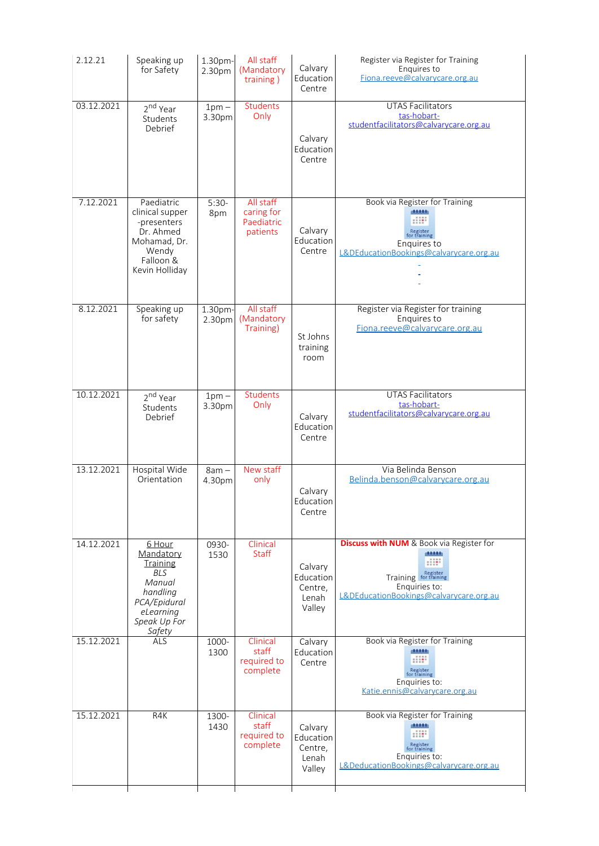| 2.12.21    | Speaking up<br>for Safety                                                                                                         | 1.30pm-<br>2.30pm | All staff<br>(Mandatory<br>training)              | Calvary<br>Education<br>Centre                     | Register via Register for Training<br>Enquires to<br>Fiona.reeve@calvarycare.org.au                                                                              |
|------------|-----------------------------------------------------------------------------------------------------------------------------------|-------------------|---------------------------------------------------|----------------------------------------------------|------------------------------------------------------------------------------------------------------------------------------------------------------------------|
| 03.12.2021 | 2 <sup>nd</sup> Year<br>Students<br>Debrief                                                                                       | $1pm -$<br>3.30pm | <b>Students</b><br>Only                           | Calvary<br>Education<br>Centre                     | <b>UTAS Facilitators</b><br>tas-hobart-<br>studentfacilitators@calvarycare.org.au                                                                                |
| 7.12.2021  | Paediatric<br>clinical supper<br>-presenters<br>Dr. Ahmed<br>Mohamad, Dr.<br>Wendy<br>Falloon <sup>8</sup><br>Kevin Holliday      | $5:30-$<br>8pm    | All staff<br>caring for<br>Paediatric<br>patients | Calvary<br>Education<br>Centre                     | Book via Register for Training<br>district<br>$\mathbb{H}\mathbb{H}$<br>Register<br>for training<br>Enquires to<br>L&DEducationBookings@calvarycare.org.au       |
| 8.12.2021  | Speaking up<br>for safety                                                                                                         | 1.30pm-<br>2.30pm | All staff<br>(Mandatory<br>Training)              | St Johns<br>training<br>room                       | Register via Register for training<br>Enquires to<br>Fiona.reeve@calvarycare.org.au                                                                              |
| 10.12.2021 | 2 <sup>nd</sup> Year<br>Students<br>Debrief                                                                                       | $1pm -$<br>3.30pm | <b>Students</b><br>Only                           | Calvary<br>Education<br>Centre                     | <b>UTAS Facilitators</b><br>tas-hobart-<br>studentfacilitators@calvarycare.org.au                                                                                |
| 13.12.2021 | Hospital Wide<br>Orientation                                                                                                      | $8am -$<br>4.30pm | New staff<br>only                                 | Calvary<br>Education<br>Centre                     | Via Belinda Benson<br>Belinda.benson@calvarycare.org.au                                                                                                          |
| 14.12.2021 | 6 Hour<br>Mandatory<br><b>Training</b><br><b>BLS</b><br>Manual<br>handling<br>PCA/Epidural<br>eLearning<br>Speak Up For<br>Safety | 0930-<br>1530     | Clinical<br>Staff                                 | Calvary<br>Education<br>Centre,<br>Lenah<br>Valley | <b>Discuss with NUM</b> & Book via Register for<br>plot total<br><b>HIP</b><br>Training For training<br>Enquiries to:<br>L&DEducationBookings@calvarycare.org.au |
| 15.12.2021 | ALS                                                                                                                               | 1000-<br>1300     | Clinical<br>staff<br>required to<br>complete      | Calvary<br>Education<br>Centre                     | Book via Register for Training<br>district<br><b>HIP</b><br>Register<br>for training<br>Enquiries to:<br>Katie.ennis@calvarycare.org.au                          |
| 15.12.2021 | R4K                                                                                                                               | 1300-<br>1430     | Clinical<br>staff<br>required to<br>complete      | Calvary<br>Education<br>Centre,<br>Lenah<br>Valley | Book via Register for Training<br>district<br>$\mathbb{H}^1$<br>Register<br>for training<br>Enquiries to:<br>L&DeducationBookings@calvarycare.org.au             |